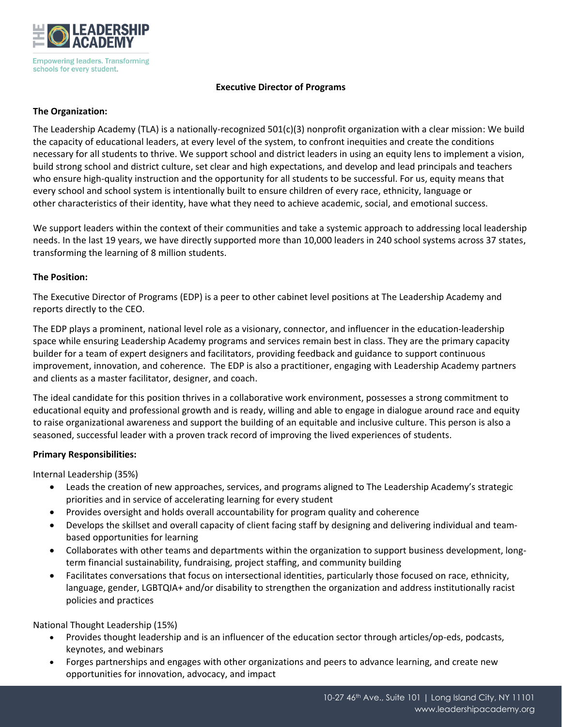

### **Executive Director of Programs**

# **The Organization:**

The Leadership Academy (TLA) is a nationally-recognized 501(c)(3) nonprofit organization with a clear mission: We build the capacity of educational leaders, at every level of the system, to confront inequities and create the conditions necessary for all students to thrive. We support school and district leaders in using an equity lens to implement a vision, build strong school and district culture, set clear and high expectations, and develop and lead principals and teachers who ensure high-quality instruction and the opportunity for all students to be successful. For us, equity means that every school and school system is intentionally built to ensure children of every race, ethnicity, language or other characteristics of their identity, have what they need to achieve academic, social, and emotional success.

We support leaders within the context of their communities and take a systemic approach to addressing local leadership needs. In the last 19 years, we have directly supported more than 10,000 leaders in 240 school systems across 37 states, transforming the learning of 8 million students.

## **The Position:**

The Executive Director of Programs (EDP) is a peer to other cabinet level positions at The Leadership Academy and reports directly to the CEO.

The EDP plays a prominent, national level role as a visionary, connector, and influencer in the education-leadership space while ensuring Leadership Academy programs and services remain best in class. They are the primary capacity builder for a team of expert designers and facilitators, providing feedback and guidance to support continuous improvement, innovation, and coherence. The EDP is also a practitioner, engaging with Leadership Academy partners and clients as a master facilitator, designer, and coach.

The ideal candidate for this position thrives in a collaborative work environment, possesses a strong commitment to educational equity and professional growth and is ready, willing and able to engage in dialogue around race and equity to raise organizational awareness and support the building of an equitable and inclusive culture. This person is also a seasoned, successful leader with a proven track record of improving the lived experiences of students.

## **Primary Responsibilities:**

Internal Leadership (35%)

- Leads the creation of new approaches, services, and programs aligned to The Leadership Academy's strategic priorities and in service of accelerating learning for every student
- Provides oversight and holds overall accountability for program quality and coherence
- Develops the skillset and overall capacity of client facing staff by designing and delivering individual and teambased opportunities for learning
- Collaborates with other teams and departments within the organization to support business development, longterm financial sustainability, fundraising, project staffing, and community building
- Facilitates conversations that focus on intersectional identities, particularly those focused on race, ethnicity, language, gender, LGBTQIA+ and/or disability to strengthen the organization and address institutionally racist policies and practices

National Thought Leadership (15%)

- Provides thought leadership and is an influencer of the education sector through articles/op-eds, podcasts, keynotes, and webinars
- Forges partnerships and engages with other organizations and peers to advance learning, and create new opportunities for innovation, advocacy, and impact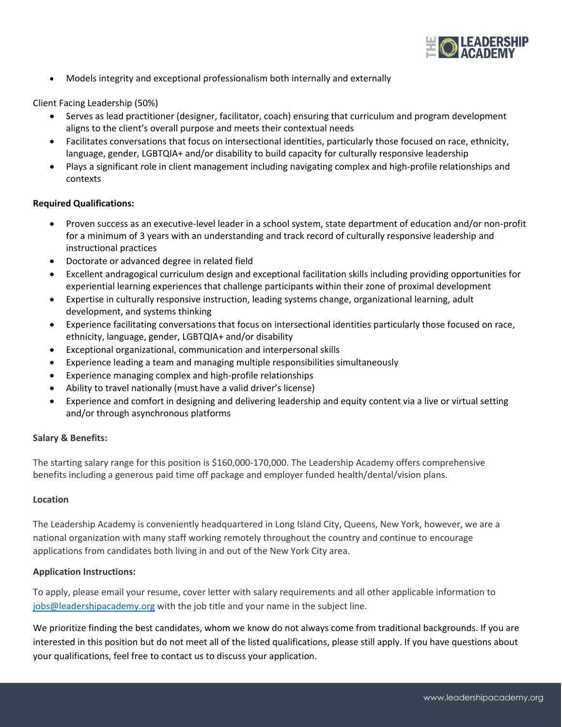

• Models integrity and exceptional professionalism both internally and externally

Client Facing Leadership (50%)

- Serves as lead practitioner (designer, facilitator, coach) ensuring that curriculum and program development aligns to the client's overall purpose and meets their contextual needs
- Facilitates conversations that focus on intersectional identities, particularly those focused on race, ethnicity, language, gender, LGBTQIA+ and/or disability to build capacity for culturally responsive leadership
- Plays a significant role in client management including navigating complex and high-profile relationships and contexts

### **Required Qualifications:**

- Proven success as an executive-level leader in a school system, state department of education and/or non-profit for a minimum of 3 years with an understanding and track record of culturally responsive leadership and instructional practices
- Doctorate or advanced degree in related field
- Excellent andragogical curriculum design and exceptional facilitation skills including providing opportunities for experiential learning experiences that challenge participants within their zone of proximal development
- Expertise in culturally responsive instruction, leading systems change, organizational learning, adult development, and systems thinking
- Experience facilitating conversations that focus on intersectional identities particularly those focused on race, ethnicity, language, gender, LGBTQIA+ and/or disability
- Exceptional organizational, communication and interpersonal skills
- Experience leading a team and managing multiple responsibilities simultaneously
- Experience managing complex and high-profile relationships
- Ability to travel nationally (must have a valid driver's license)
- Experience and comfort in designing and delivering leadership and equity content via a live or virtual setting and/or through asynchronous platforms

## **Salary & Benefits:**

The starting salary range for this position is \$160,000-170,000. The Leadership Academy offers comprehensive benefits including a generous paid time off package and employer funded health/dental/vision plans.

#### **Location**

The Leadership Academy is conveniently headquartered in Long Island City, Queens, New York, however, we are a national organization with many staff working remotely throughout the country and continue to encourage applications from candidates both living in and out of the New York City area.

## **Application Instructions:**

To apply, please email your resume, cover letter with salary requirements and all other applicable information to [jobs@leadershipacademy.org](mailto:jobs@leadershipacademy.org) with the job title and your name in the subject line.

We prioritize finding the best candidates, whom we know do not always come from traditional backgrounds. If you are interested in this position but do not meet all of the listed qualifications, please still apply. If you have questions about your qualifications, feel free to contact us to discuss your application.